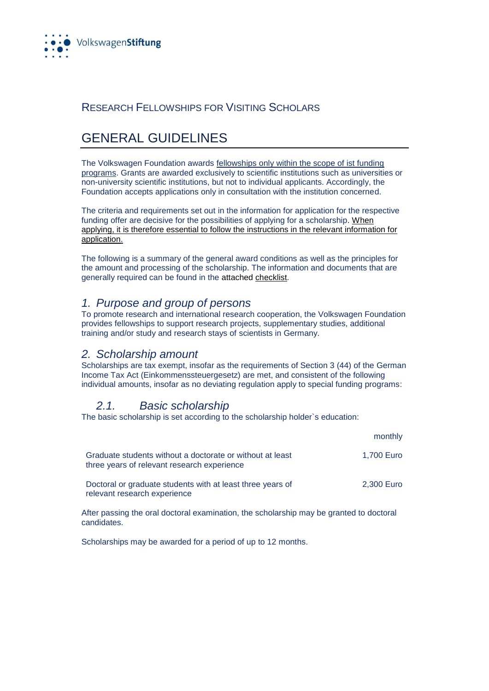

## RESEARCH FELLOWSHIPS FOR VISITING SCHOLARS

# GENERAL GUIDELINES

The Volkswagen Foundation awards fellowships only within the scope of ist funding programs. Grants are awarded exclusively to scientific institutions such as universities or non-university scientific institutions, but not to individual applicants. Accordingly, the Foundation accepts applications only in consultation with the institution concerned.

The criteria and requirements set out in the information for application for the respective funding offer are decisive for the possibilities of applying for a scholarship. [When](https://www.volkswagenstiftung.de/sites/default/files/downloads/MB_125_e.pdf)  [applying, it is therefore essential to follow the instructions in the relevant information for](https://www.volkswagenstiftung.de/sites/default/files/downloads/MB_125_e.pdf)  [application.](https://www.volkswagenstiftung.de/sites/default/files/downloads/MB_125_e.pdf)

The following is a summary of the general award conditions as well as the principles for the amount and processing of the scholarship. The information and documents that are generally required can be found in the attached [checklist.](https://www.volkswagenstiftung.de/sites/default/files/downloads/06%20Checklist%20for%20Research%20Fellowships%20for%20Visiting%20Scholars_0.pdf)

#### *1. Purpose and group of persons*

To promote research and international research cooperation, the Volkswagen Foundation provides fellowships to support research projects, supplementary studies, additional training and/or study and research stays of scientists in Germany.

#### *2. Scholarship amount*

Scholarships are tax exempt, insofar as the requirements of Section 3 (44) of the German Income Tax Act (Einkommenssteuergesetz) are met, and consistent of the following individual amounts, insofar as no deviating regulation apply to special funding programs:

### *2.1. Basic scholarship*

The basic scholarship is set according to the scholarship holder`s education:

|                                                                                                          | monthly    |
|----------------------------------------------------------------------------------------------------------|------------|
| Graduate students without a doctorate or without at least<br>three years of relevant research experience | 1,700 Euro |
| Doctoral or graduate students with at least three years of<br>relevant research experience               | 2,300 Euro |

After passing the oral doctoral examination, the scholarship may be granted to doctoral candidates.

Scholarships may be awarded for a period of up to 12 months.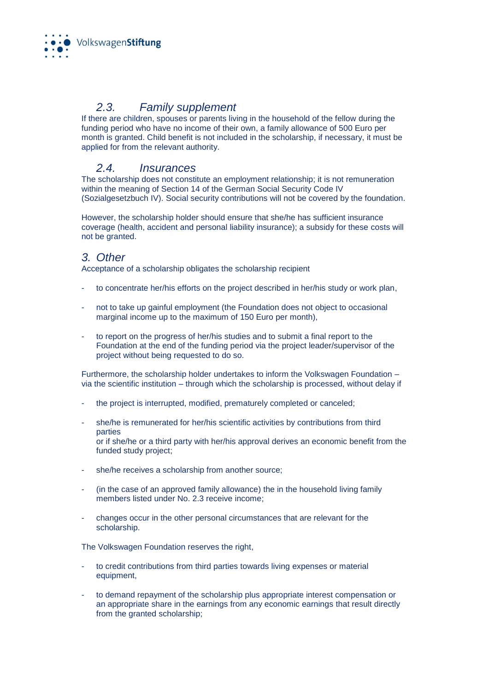

# *2.3. Family supplement*

If there are children, spouses or parents living in the household of the fellow during the funding period who have no income of their own, a family allowance of 500 Euro per month is granted. Child benefit is not included in the scholarship, if necessary, it must be applied for from the relevant authority.

# *2.4. Insurances*

The scholarship does not constitute an employment relationship; it is not remuneration within the meaning of Section 14 of the German Social Security Code IV (Sozialgesetzbuch IV). Social security contributions will not be covered by the foundation.

However, the scholarship holder should ensure that she/he has sufficient insurance coverage (health, accident and personal liability insurance); a subsidy for these costs will not be granted.

## *3. Other*

Acceptance of a scholarship obligates the scholarship recipient

- to concentrate her/his efforts on the project described in her/his study or work plan,
- not to take up gainful employment (the Foundation does not object to occasional marginal income up to the maximum of 150 Euro per month),
- to report on the progress of her/his studies and to submit a final report to the Foundation at the end of the funding period via the project leader/supervisor of the project without being requested to do so.

Furthermore, the scholarship holder undertakes to inform the Volkswagen Foundation – via the scientific institution – through which the scholarship is processed, without delay if

- the project is interrupted, modified, prematurely completed or canceled;
- she/he is remunerated for her/his scientific activities by contributions from third parties or if she/he or a third party with her/his approval derives an economic benefit from the
	- funded study project;
- she/he receives a scholarship from another source;
- (in the case of an approved family allowance) the in the household living family members listed under No. 2.3 receive income;
- changes occur in the other personal circumstances that are relevant for the scholarship.

The Volkswagen Foundation reserves the right,

- to credit contributions from third parties towards living expenses or material equipment,
- to demand repayment of the scholarship plus appropriate interest compensation or an appropriate share in the earnings from any economic earnings that result directly from the granted scholarship;